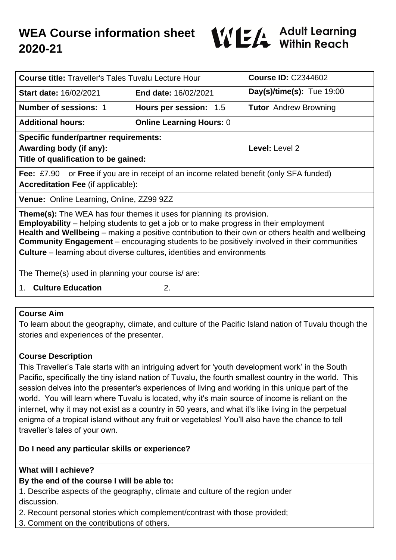

| <b>Course title:</b> Traveller's Tales Tuvalu Lecture Hour                                                                                                                                                                                                                                                                                                                                                                                                              |                                 | <b>Course ID: C2344602</b>   |
|-------------------------------------------------------------------------------------------------------------------------------------------------------------------------------------------------------------------------------------------------------------------------------------------------------------------------------------------------------------------------------------------------------------------------------------------------------------------------|---------------------------------|------------------------------|
| <b>Start date: 16/02/2021</b>                                                                                                                                                                                                                                                                                                                                                                                                                                           | <b>End date: 16/02/2021</b>     | Day(s)/time(s): Tue $19:00$  |
| <b>Number of sessions: 1</b>                                                                                                                                                                                                                                                                                                                                                                                                                                            | Hours per session: 1.5          | <b>Tutor</b> Andrew Browning |
| <b>Additional hours:</b>                                                                                                                                                                                                                                                                                                                                                                                                                                                | <b>Online Learning Hours: 0</b> |                              |
| <b>Specific funder/partner requirements:</b>                                                                                                                                                                                                                                                                                                                                                                                                                            |                                 |                              |
| Awarding body (if any):                                                                                                                                                                                                                                                                                                                                                                                                                                                 |                                 | Level: Level 2               |
| Title of qualification to be gained:                                                                                                                                                                                                                                                                                                                                                                                                                                    |                                 |                              |
| <b>Fee:</b> £7.90 or <b>Free</b> if you are in receipt of an income related benefit (only SFA funded)                                                                                                                                                                                                                                                                                                                                                                   |                                 |                              |
| <b>Accreditation Fee (if applicable):</b>                                                                                                                                                                                                                                                                                                                                                                                                                               |                                 |                              |
| Venue: Online Learning, Online, ZZ99 9ZZ                                                                                                                                                                                                                                                                                                                                                                                                                                |                                 |                              |
| <b>Theme(s):</b> The WEA has four themes it uses for planning its provision.<br><b>Employability</b> – helping students to get a job or to make progress in their employment<br>Health and Wellbeing – making a positive contribution to their own or others health and wellbeing<br><b>Community Engagement</b> – encouraging students to be positively involved in their communities<br><b>Culture</b> – learning about diverse cultures, identities and environments |                                 |                              |
| The Theme(s) used in planning your course is/ are:                                                                                                                                                                                                                                                                                                                                                                                                                      |                                 |                              |
| <b>Culture Education</b><br>2.<br>$1_{-}$                                                                                                                                                                                                                                                                                                                                                                                                                               |                                 |                              |

### **Course Aim**

To learn about the geography, climate, and culture of the Pacific Island nation of Tuvalu though the stories and experiences of the presenter.

## **Course Description**

This Traveller's Tale starts with an intriguing advert for 'youth development work' in the South Pacific, specifically the tiny island nation of Tuvalu, the fourth smallest country in the world. This session delves into the presenter's experiences of living and working in this unique part of the world. You will learn where Tuvalu is located, why it's main source of income is reliant on the internet, why it may not exist as a country in 50 years, and what it's like living in the perpetual enigma of a tropical island without any fruit or vegetables! You'll also have the chance to tell traveller's tales of your own.

## **Do I need any particular skills or experience?**

## **What will I achieve?**

# **By the end of the course I will be able to:**

1. Describe aspects of the geography, climate and culture of the region under discussion.

2. Recount personal stories which complement/contrast with those provided;

3. Comment on the contributions of others.